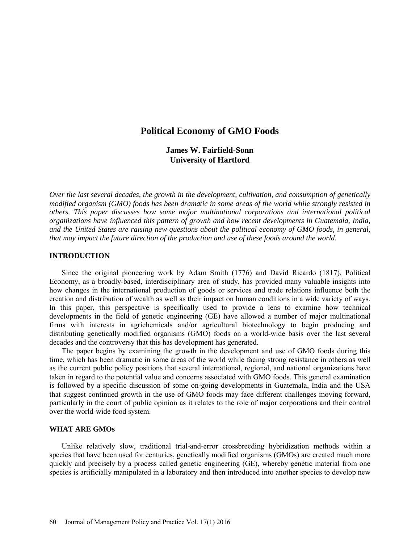# **Political Economy of GMO Foods**

**James W. Fairfield-Sonn University of Hartford** 

*Over the last several decades, the growth in the development, cultivation, and consumption of genetically modified organism (GMO) foods has been dramatic in some areas of the world while strongly resisted in others. This paper discusses how some major multinational corporations and international political organizations have influenced this pattern of growth and how recent developments in Guatemala, India, and the United States are raising new questions about the political economy of GMO foods, in general, that may impact the future direction of the production and use of these foods around the world.* 

### **INTRODUCTION**

Since the original pioneering work by Adam Smith (1776) and David Ricardo (1817), Political Economy, as a broadly-based, interdisciplinary area of study, has provided many valuable insights into how changes in the international production of goods or services and trade relations influence both the creation and distribution of wealth as well as their impact on human conditions in a wide variety of ways. In this paper, this perspective is specifically used to provide a lens to examine how technical developments in the field of genetic engineering (GE) have allowed a number of major multinational firms with interests in agrichemicals and/or agricultural biotechnology to begin producing and distributing genetically modified organisms (GMO) foods on a world-wide basis over the last several decades and the controversy that this has development has generated.

The paper begins by examining the growth in the development and use of GMO foods during this time, which has been dramatic in some areas of the world while facing strong resistance in others as well as the current public policy positions that several international, regional, and national organizations have taken in regard to the potential value and concerns associated with GMO foods. This general examination is followed by a specific discussion of some on-going developments in Guatemala, India and the USA that suggest continued growth in the use of GMO foods may face different challenges moving forward, particularly in the court of public opinion as it relates to the role of major corporations and their control over the world-wide food system.

### **WHAT ARE GMOs**

Unlike relatively slow, traditional trial-and-error crossbreeding hybridization methods within a species that have been used for centuries, genetically modified organisms (GMOs) are created much more quickly and precisely by a process called genetic engineering (GE), whereby genetic material from one species is artificially manipulated in a laboratory and then introduced into another species to develop new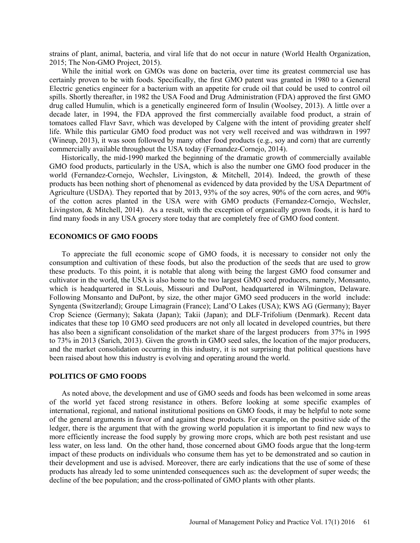strains of plant, animal, bacteria, and viral life that do not occur in nature (World Health Organization, 2015; The Non-GMO Project, 2015).

While the initial work on GMOs was done on bacteria, over time its greatest commercial use has certainly proven to be with foods. Specifically, the first GMO patent was granted in 1980 to a General Electric genetics engineer for a bacterium with an appetite for crude oil that could be used to control oil spills. Shortly thereafter, in 1982 the USA Food and Drug Administration (FDA) approved the first GMO drug called Humulin, which is a genetically engineered form of Insulin (Woolsey, 2013). A little over a decade later, in 1994, the FDA approved the first commercially available food product, a strain of tomatoes called Flavr Savr, which was developed by Calgene with the intent of providing greater shelf life. While this particular GMO food product was not very well received and was withdrawn in 1997 (Wineup, 2013), it was soon followed by many other food products (e.g., soy and corn) that are currently commercially available throughout the USA today (Fernandez-Cornejo, 2014).

Historically, the mid-1990 marked the beginning of the dramatic growth of commercially available GMO food products, particularly in the USA, which is also the number one GMO food producer in the world (Fernandez-Cornejo, Wechsler, Livingston, & Mitchell, 2014). Indeed, the growth of these products has been nothing short of phenomenal as evidenced by data provided by the USA Department of Agriculture (USDA). They reported that by 2013, 93% of the soy acres, 90% of the corn acres, and 90% of the cotton acres planted in the USA were with GMO products (Fernandez-Cornejo, Wechsler, Livingston, & Mitchell, 2014). As a result, with the exception of organically grown foods, it is hard to find many foods in any USA grocery store today that are completely free of GMO food content.

### **ECONOMICS OF GMO FOODS**

To appreciate the full economic scope of GMO foods, it is necessary to consider not only the consumption and cultivation of these foods, but also the production of the seeds that are used to grow these products. To this point, it is notable that along with being the largest GMO food consumer and cultivator in the world, the USA is also home to the two largest GMO seed producers, namely, Monsanto, which is headquartered in St.Louis, Missouri and DuPont, headquartered in Wilmington, Delaware. Following Monsanto and DuPont, by size, the other major GMO seed producers in the world include: Syngenta (Switzerland); Groupe Limagrain (France); Land'O Lakes (USA); KWS AG (Germany); Bayer Crop Science (Germany); Sakata (Japan); Takii (Japan); and DLF-Trifolium (Denmark). Recent data indicates that these top 10 GMO seed producers are not only all located in developed countries, but there has also been a significant consolidation of the market share of the largest producers from 37% in 1995 to 73% in 2013 (Sarich, 2013). Given the growth in GMO seed sales, the location of the major producers, and the market consolidation occurring in this industry, it is not surprising that political questions have been raised about how this industry is evolving and operating around the world.

#### **POLITICS OF GMO FOODS**

As noted above, the development and use of GMO seeds and foods has been welcomed in some areas of the world yet faced strong resistance in others. Before looking at some specific examples of international, regional, and national institutional positions on GMO foods, it may be helpful to note some of the general arguments in favor of and against these products. For example, on the positive side of the ledger, there is the argument that with the growing world population it is important to find new ways to more efficiently increase the food supply by growing more crops, which are both pest resistant and use less water, on less land. On the other hand, those concerned about GMO foods argue that the long-term impact of these products on individuals who consume them has yet to be demonstrated and so caution in their development and use is advised. Moreover, there are early indications that the use of some of these products has already led to some unintended consequences such as: the development of super weeds; the decline of the bee population; and the cross-pollinated of GMO plants with other plants.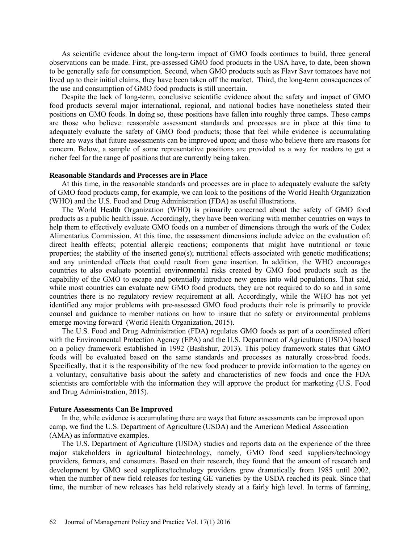As scientific evidence about the long-term impact of GMO foods continues to build, three general observations can be made. First, pre-assessed GMO food products in the USA have, to date, been shown to be generally safe for consumption. Second, when GMO products such as Flavr Savr tomatoes have not lived up to their initial claims, they have been taken off the market. Third, the long-term consequences of the use and consumption of GMO food products is still uncertain.

Despite the lack of long-term, conclusive scientific evidence about the safety and impact of GMO food products several major international, regional, and national bodies have nonetheless stated their positions on GMO foods. In doing so, these positions have fallen into roughly three camps. These camps are those who believe: reasonable assessment standards and processes are in place at this time to adequately evaluate the safety of GMO food products; those that feel while evidence is accumulating there are ways that future assessments can be improved upon; and those who believe there are reasons for concern. Below, a sample of some representative positions are provided as a way for readers to get a richer feel for the range of positions that are currently being taken.

### **Reasonable Standards and Processes are in Place**

At this time, in the reasonable standards and processes are in place to adequately evaluate the safety of GMO food products camp, for example, we can look to the positions of the World Health Organization (WHO) and the U.S. Food and Drug Administration (FDA) as useful illustrations.

The World Health Organization (WHO) is primarily concerned about the safety of GMO food products as a public health issue. Accordingly, they have been working with member countries on ways to help them to effectively evaluate GMO foods on a number of dimensions through the work of the Codex Alimentarius Commission. At this time, the assessment dimensions include advice on the evaluation of: direct health effects; potential allergic reactions; components that might have nutritional or toxic properties; the stability of the inserted gene(s); nutritional effects associated with genetic modifications; and any unintended effects that could result from gene insertion. In addition, the WHO encourages countries to also evaluate potential environmental risks created by GMO food products such as the capability of the GMO to escape and potentially introduce new genes into wild populations. That said, while most countries can evaluate new GMO food products, they are not required to do so and in some countries there is no regulatory review requirement at all. Accordingly, while the WHO has not yet identified any major problems with pre-assessed GMO food products their role is primarily to provide counsel and guidance to member nations on how to insure that no safety or environmental problems emerge moving forward (World Health Organization, 2015).

The U.S. Food and Drug Administration (FDA**)** regulates GMO foods as part of a coordinated effort with the Environmental Protection Agency (EPA) and the U.S. Department of Agriculture (USDA) based on a policy framework established in 1992 (Bashshur, 2013). This policy framework states that GMO foods will be evaluated based on the same standards and processes as naturally cross-bred foods. Specifically, that it is the responsibility of the new food producer to provide information to the agency on a voluntary, consultative basis about the safety and characteristics of new foods and once the FDA scientists are comfortable with the information they will approve the product for marketing (U.S. Food and Drug Administration, 2015).

#### **Future Assessments Can Be Improved**

In the, while evidence is accumulating there are ways that future assessments can be improved upon camp, we find the U.S. Department of Agriculture (USDA) and the American Medical Association (AMA) as informative examples.

The U.S. Department of Agriculture (USDA) studies and reports data on the experience of the three major stakeholders in agricultural biotechnology, namely, GMO food seed suppliers/technology providers, farmers, and consumers. Based on their research, they found that the amount of research and development by GMO seed suppliers/technology providers grew dramatically from 1985 until 2002, when the number of new field releases for testing GE varieties by the USDA reached its peak. Since that time, the number of new releases has held relatively steady at a fairly high level. In terms of farming,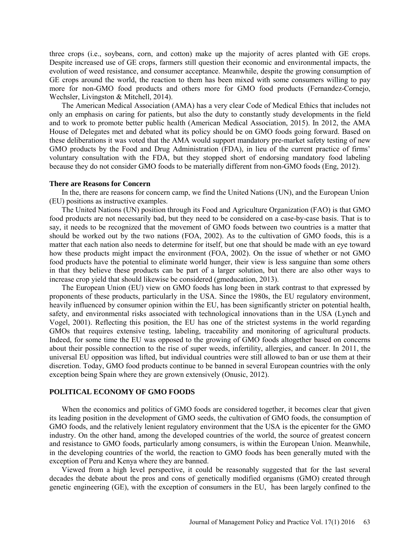three crops (i.e., soybeans, corn, and cotton) make up the majority of acres planted with GE crops. Despite increased use of GE crops, farmers still question their economic and environmental impacts, the evolution of weed resistance, and consumer acceptance. Meanwhile, despite the growing consumption of GE crops around the world, the reaction to them has been mixed with some consumers willing to pay more for non-GMO food products and others more for GMO food products (Fernandez-Cornejo, Wechsler, Livingston & Mitchell, 2014).

The American Medical Association (AMA) has a very clear Code of Medical Ethics that includes not only an emphasis on caring for patients, but also the duty to constantly study developments in the field and to work to promote better public health (American Medical Association, 2015). In 2012, the AMA House of Delegates met and debated what its policy should be on GMO foods going forward. Based on these deliberations it was voted that the AMA would support mandatory pre-market safety testing of new GMO products by the Food and Drug Administration (FDA), in lieu of the current practice of firms' voluntary consultation with the FDA, but they stopped short of endorsing mandatory food labeling because they do not consider GMO foods to be materially different from non-GMO foods (Eng, 2012).

#### **There are Reasons for Concern**

In the, there are reasons for concern camp, we find the United Nations (UN), and the European Union (EU) positions as instructive examples.

The United Nations (UN) position through its Food and Agriculture Organization (FAO) is that GMO food products are not necessarily bad, but they need to be considered on a case-by-case basis. That is to say, it needs to be recognized that the movement of GMO foods between two countries is a matter that should be worked out by the two nations (FOA, 2002). As to the cultivation of GMO foods, this is a matter that each nation also needs to determine for itself, but one that should be made with an eye toward how these products might impact the environment (FOA, 2002). On the issue of whether or not GMO food products have the potential to eliminate world hunger, their view is less sanguine than some others in that they believe these products can be part of a larger solution, but there are also other ways to increase crop yield that should likewise be considered (gmeducation, 2013).

The European Union (EU) view on GMO foods has long been in stark contrast to that expressed by proponents of these products, particularly in the USA. Since the 1980s, the EU regulatory environment, heavily influenced by consumer opinion within the EU, has been significantly stricter on potential health, safety, and environmental risks associated with technological innovations than in the USA (Lynch and Vogel, 2001). Reflecting this position, the EU has one of the strictest systems in the world regarding GMOs that requires extensive testing, labeling, traceability and monitoring of agricultural products. Indeed, for some time the EU was opposed to the growing of GMO foods altogether based on concerns about their possible connection to the rise of super weeds, infertility, allergies, and cancer. In 2011, the universal EU opposition was lifted, but individual countries were still allowed to ban or use them at their discretion. Today, GMO food products continue to be banned in several European countries with the only exception being Spain where they are grown extensively (Onusic, 2012).

### **POLITICAL ECONOMY OF GMO FOODS**

When the economics and politics of GMO foods are considered together, it becomes clear that given its leading position in the development of GMO seeds, the cultivation of GMO foods, the consumption of GMO foods, and the relatively lenient regulatory environment that the USA is the epicenter for the GMO industry. On the other hand, among the developed countries of the world, the source of greatest concern and resistance to GMO foods, particularly among consumers, is within the European Union. Meanwhile, in the developing countries of the world, the reaction to GMO foods has been generally muted with the exception of Peru and Kenya where they are banned.

Viewed from a high level perspective, it could be reasonably suggested that for the last several decades the debate about the pros and cons of genetically modified organisms (GMO) created through genetic engineering (GE), with the exception of consumers in the EU, has been largely confined to the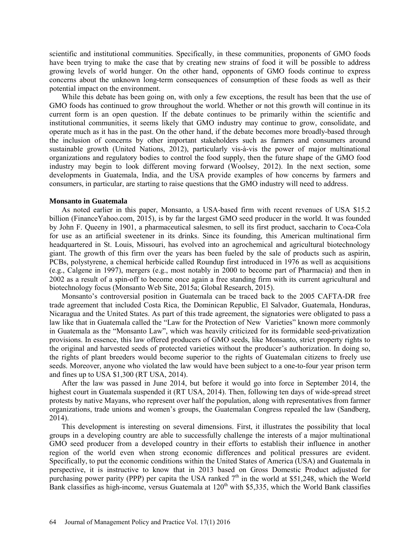scientific and institutional communities. Specifically, in these communities, proponents of GMO foods have been trying to make the case that by creating new strains of food it will be possible to address growing levels of world hunger. On the other hand, opponents of GMO foods continue to express concerns about the unknown long-term consequences of consumption of these foods as well as their potential impact on the environment.

While this debate has been going on, with only a few exceptions, the result has been that the use of GMO foods has continued to grow throughout the world. Whether or not this growth will continue in its current form is an open question. If the debate continues to be primarily within the scientific and institutional communities, it seems likely that GMO industry may continue to grow, consolidate, and operate much as it has in the past. On the other hand, if the debate becomes more broadly-based through the inclusion of concerns by other important stakeholders such as farmers and consumers around sustainable growth (United Nations, 2012), particularly vis-à-vis the power of major multinational organizations and regulatory bodies to control the food supply, then the future shape of the GMO food industry may begin to look different moving forward (Woolsey, 2012). In the next section, some developments in Guatemala, India, and the USA provide examples of how concerns by farmers and consumers, in particular, are starting to raise questions that the GMO industry will need to address.

### **Monsanto in Guatemala**

As noted earlier in this paper, Monsanto, a USA-based firm with recent revenues of USA \$15.2 billion (FinanceYahoo.com, 2015), is by far the largest GMO seed producer in the world. It was founded by John F. Queeny in 1901, a pharmaceutical salesmen, to sell its first product, saccharin to Coca-Cola for use as an artificial sweetener in its drinks. Since its founding, this American multinational firm headquartered in St. Louis, Missouri, has evolved into an agrochemical and agricultural biotechnology giant. The growth of this firm over the years has been fueled by the sale of products such as aspirin, PCBs, polystyrene, a chemical herbicide called Roundup first introduced in 1976 as well as acquisitions (e.g., Calgene in 1997), mergers (e.g., most notably in 2000 to become part of Pharmacia) and then in 2002 as a result of a spin-off to become once again a free standing firm with its current agricultural and biotechnology focus (Monsanto Web Site, 2015a; Global Research, 2015).

Monsanto's controversial position in Guatemala can be traced back to the 2005 CAFTA-DR free trade agreement that included Costa Rica, the Dominican Republic, El Salvador, Guatemala, Honduras, Nicaragua and the United States. As part of this trade agreement, the signatories were obligated to pass a law like that in Guatemala called the "Law for the Protection of New Varieties" known more commonly in Guatemala as the "Monsanto Law", which was heavily criticized for its formidable seed-privatization provisions. In essence, this law offered producers of GMO seeds, like Monsanto, strict property rights to the original and harvested seeds of protected varieties without the producer's authorization. In doing so, the rights of plant breeders would become superior to the rights of Guatemalan citizens to freely use seeds. Moreover, anyone who violated the law would have been subject to a one-to-four year prison term and fines up to USA \$1,300 (RT USA, 2014).

After the law was passed in June 2014, but before it would go into force in September 2014, the highest court in Guatemala suspended it (RT USA, 2014). Then, following ten days of wide-spread street protests by native Mayans, who represent over half the population, along with representatives from farmer organizations, trade unions and women's groups, the Guatemalan Congress repealed the law (Sandberg, 2014).

This development is interesting on several dimensions. First, it illustrates the possibility that local groups in a developing country are able to successfully challenge the interests of a major multinational GMO seed producer from a developed country in their efforts to establish their influence in another region of the world even when strong economic differences and political pressures are evident. Specifically, to put the economic conditions within the United States of America (USA) and Guatemala in perspective, it is instructive to know that in 2013 based on Gross Domestic Product adjusted for purchasing power parity (PPP) per capita the USA ranked  $7<sup>th</sup>$  in the world at \$51,248, which the World Bank classifies as high-income, versus Guatemala at  $120<sup>th</sup>$  with \$5,335, which the World Bank classifies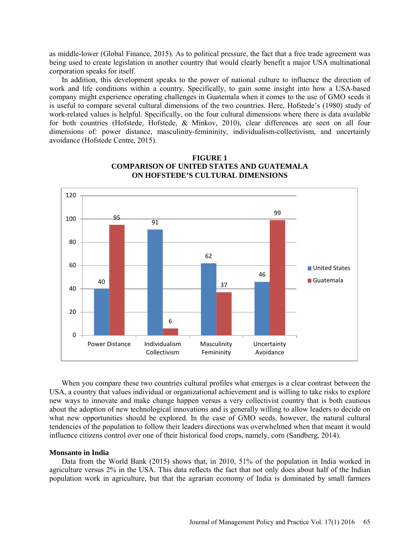as middle-lower (Global Finance, 2015). As to political pressure, the fact that a free trade agreement was being used to create legislation in another country that would clearly benefit a major USA multinational corporation speaks for itself.

In addition, this development speaks to the power of national culture to influence the direction of work and life conditions within a country. Specifically, to gain some insight into how a USA-based company might experience operating challenges in Guatemala when it comes to the use of GMO seeds it is useful to compare several cultural dimensions of the two countries. Here, Hofstede's (1980) study of work-related values is helpful. Specifically, on the four cultural dimensions where there is data available for both countries (Hofstede, Hofstede, & Minkov, 2010), clear differences are seen on all four dimensions of: power distance, masculinity-femininity, individualism-collectivism, and uncertainly avoidance (Hofstede Centre, 2015).



# **FIGURE 1 COMPARISON OF UNITED STATES AND GUATEMALA ON HOFSTEDE'S CULTURAL DIMENSIONS**

When you compare these two countries cultural profiles what emerges is a clear contrast between the USA, a country that values individual or organizational achievement and is willing to take risks to explore new ways to innovate and make change happen versus a very collectivist country that is both cautious about the adoption of new technological innovations and is generally willing to allow leaders to decide on what new opportunities should be explored. In the case of GMO seeds, however, the natural cultural tendencies of the population to follow their leaders directions was overwhelmed when that meant it would influence citizens control over one of their historical food crops, namely, corn (Sandberg, 2014).

### **Monsanto in India**

Data from the World Bank (2015) shows that, in 2010, 51% of the population in India worked in agriculture versus 2% in the USA. This data reflects the fact that not only does about half of the Indian population work in agriculture, but that the agrarian economy of India is dominated by small farmers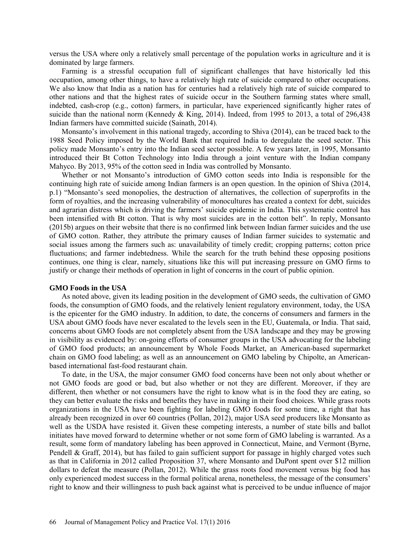versus the USA where only a relatively small percentage of the population works in agriculture and it is dominated by large farmers.

Farming is a stressful occupation full of significant challenges that have historically led this occupation, among other things, to have a relatively high rate of suicide compared to other occupations. We also know that India as a nation has for centuries had a relatively high rate of suicide compared to other nations and that the highest rates of suicide occur in the Southern farming states where small, indebted, cash-crop (e.g., cotton) farmers, in particular, have experienced significantly higher rates of suicide than the national norm (Kennedy & King, 2014). Indeed, from 1995 to 2013, a total of 296,438 Indian farmers have committed suicide (Sainath, 2014).

Monsanto's involvement in this national tragedy, according to Shiva (2014), can be traced back to the 1988 Seed Policy imposed by the World Bank that required India to deregulate the seed sector. This policy made Monsanto's entry into the Indian seed sector possible. A few years later, in 1995, Monsanto introduced their Bt Cotton Technology into India through a joint venture with the Indian company Mahyco. By 2013, 95% of the cotton seed in India was controlled by Monsanto.

Whether or not Monsanto's introduction of GMO cotton seeds into India is responsible for the continuing high rate of suicide among Indian farmers is an open question. In the opinion of Shiva (2014, p.1) "Monsanto's seed monopolies, the destruction of alternatives, the collection of superprofits in the form of royalties, and the increasing vulnerability of monocultures has created a context for debt, suicides and agrarian distress which is driving the farmers' suicide epidemic in India. This systematic control has been intensified with Bt cotton. That is why most suicides are in the cotton belt". In reply, Monsanto (2015b) argues on their website that there is no confirmed link between Indian farmer suicides and the use of GMO cotton. Rather, they attribute the primary causes of Indian farmer suicides to systematic and social issues among the farmers such as: unavailability of timely credit; cropping patterns; cotton price fluctuations; and farmer indebtedness. While the search for the truth behind these opposing positions continues, one thing is clear, namely, situations like this will put increasing pressure on GMO firms to justify or change their methods of operation in light of concerns in the court of public opinion.

#### **GMO Foods in the USA**

As noted above, given its leading position in the development of GMO seeds, the cultivation of GMO foods, the consumption of GMO foods, and the relatively lenient regulatory environment, today, the USA is the epicenter for the GMO industry. In addition, to date, the concerns of consumers and farmers in the USA about GMO foods have never escalated to the levels seen in the EU, Guatemala, or India. That said, concerns about GMO foods are not completely absent from the USA landscape and they may be growing in visibility as evidenced by: on-going efforts of consumer groups in the USA advocating for the labeling of GMO food products; an announcement by Whole Foods Market, an American-based supermarket chain on GMO food labeling; as well as an announcement on GMO labeling by Chipolte, an Americanbased international fast-food restaurant chain.

To date, in the USA, the major consumer GMO food concerns have been not only about whether or not GMO foods are good or bad, but also whether or not they are different. Moreover, if they are different, then whether or not consumers have the right to know what is in the food they are eating, so they can better evaluate the risks and benefits they have in making in their food choices. While grass roots organizations in the USA have been fighting for labeling GMO foods for some time, a right that has already been recognized in over 60 countries (Pollan, 2012), major USA seed producers like Monsanto as well as the USDA have resisted it. Given these competing interests, a number of state bills and ballot initiates have moved forward to determine whether or not some form of GMO labeling is warranted. As a result, some form of mandatory labeling has been approved in Connecticut, Maine, and Vermont (Byrne, Pendell & Graff, 2014), but has failed to gain sufficient support for passage in highly charged votes such as that in California in 2012 called Proposition 37, where Monsanto and DuPont spent over \$12 million dollars to defeat the measure (Pollan, 2012). While the grass roots food movement versus big food has only experienced modest success in the formal political arena, nonetheless, the message of the consumers' right to know and their willingness to push back against what is perceived to be undue influence of major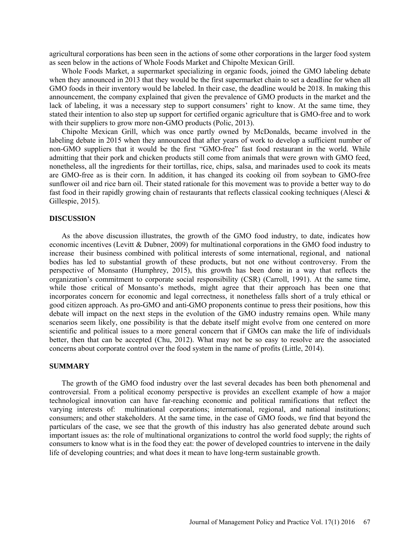agricultural corporations has been seen in the actions of some other corporations in the larger food system as seen below in the actions of Whole Foods Market and Chipolte Mexican Grill.

Whole Foods Market, a supermarket specializing in organic foods, joined the GMO labeling debate when they announced in 2013 that they would be the first supermarket chain to set a deadline for when all GMO foods in their inventory would be labeled. In their case, the deadline would be 2018. In making this announcement, the company explained that given the prevalence of GMO products in the market and the lack of labeling, it was a necessary step to support consumers' right to know. At the same time, they stated their intention to also step up support for certified organic agriculture that is GMO-free and to work with their suppliers to grow more non-GMO products (Polic, 2013).

Chipolte Mexican Grill, which was once partly owned by McDonalds, became involved in the labeling debate in 2015 when they announced that after years of work to develop a sufficient number of non-GMO suppliers that it would be the first "GMO-free" fast food restaurant in the world. While admitting that their pork and chicken products still come from animals that were grown with GMO feed, nonetheless, all the ingredients for their tortillas, rice, chips, salsa, and marinades used to cook its meats are GMO-free as is their corn. In addition, it has changed its cooking oil from soybean to GMO-free sunflower oil and rice barn oil. Their stated rationale for this movement was to provide a better way to do fast food in their rapidly growing chain of restaurants that reflects classical cooking techniques (Alesci & Gillespie, 2015).

### **DISCUSSION**

As the above discussion illustrates, the growth of the GMO food industry, to date, indicates how economic incentives (Levitt & Dubner, 2009) for multinational corporations in the GMO food industry to increase their business combined with political interests of some international, regional, and national bodies has led to substantial growth of these products, but not one without controversy. From the perspective of Monsanto (Humphrey, 2015), this growth has been done in a way that reflects the organization's commitment to corporate social responsibility (CSR) (Carroll, 1991). At the same time, while those critical of Monsanto's methods, might agree that their approach has been one that incorporates concern for economic and legal correctness, it nonetheless falls short of a truly ethical or good citizen approach. As pro-GMO and anti-GMO proponents continue to press their positions, how this debate will impact on the next steps in the evolution of the GMO industry remains open. While many scenarios seem likely, one possibility is that the debate itself might evolve from one centered on more scientific and political issues to a more general concern that if GMOs can make the life of individuals better, then that can be accepted (Chu, 2012). What may not be so easy to resolve are the associated concerns about corporate control over the food system in the name of profits (Little, 2014).

### **SUMMARY**

The growth of the GMO food industry over the last several decades has been both phenomenal and controversial. From a political economy perspective is provides an excellent example of how a major technological innovation can have far-reaching economic and political ramifications that reflect the varying interests of: multinational corporations; international, regional, and national institutions; consumers; and other stakeholders. At the same time, in the case of GMO foods, we find that beyond the particulars of the case, we see that the growth of this industry has also generated debate around such important issues as: the role of multinational organizations to control the world food supply; the rights of consumers to know what is in the food they eat: the power of developed countries to intervene in the daily life of developing countries; and what does it mean to have long-term sustainable growth.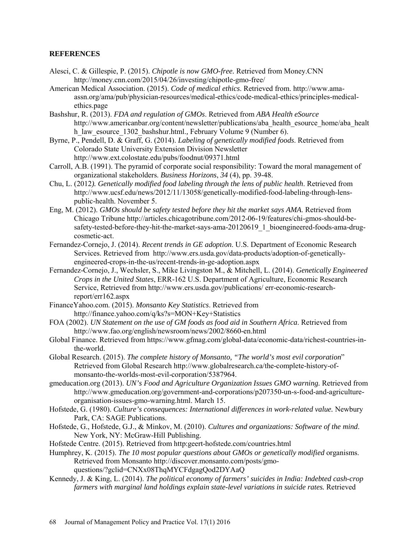# **REFERENCES**

- Alesci, C. & Gillespie, P. (2015). *Chipotle is now GMO-free.* Retrieved from Money.CNN <http://money.cnn.com/2015/04/26/investing/chipotle-gmo-free/>
- American Medical Association. (2015). *Code of medical ethics*. Retrieved from. [http://www.ama](http://www.ama-assn.org/ama/pub/physician-resources/medical-ethics/code-medical-ethics/principles-medical-ethics.page)[assn.org/ama/pub/physician-resources/medical-ethics/code-medical-ethics/principles-medical](http://www.ama-assn.org/ama/pub/physician-resources/medical-ethics/code-medical-ethics/principles-medical-ethics.page)[ethics.page](http://www.ama-assn.org/ama/pub/physician-resources/medical-ethics/code-medical-ethics/principles-medical-ethics.page)
- Bashshur, R. (2013). *FDA and regulation of GMOs*. Retrieved from *ABA Health eSource* [http://www.americanbar.org/content/newsletter/publications/aba\\_health\\_esource\\_home/aba\\_healt](http://www.americanbar.org/content/newsletter/publications/aba_health_esource_home/aba_health_law_esource_1302_bashshur.html) [h\\_law\\_esource\\_1302\\_bashshur.html.](http://www.americanbar.org/content/newsletter/publications/aba_health_esource_home/aba_health_law_esource_1302_bashshur.html), February Volume 9 (Number 6).
- Byrne, P., Pendell, D. & Graff, G. (2014). *Labeling of genetically modified foods*. Retrieved from Colorado State University Extension Division Newsletter http://www.ext.colostate.edu/pubs/foodnut/09371.html
- Carroll, A.B. (1991). The pyramid of corporate social responsibility: Toward the moral management of organizational stakeholders. *Business Horizons*, *34* (4), pp. 39-48.
- Chu, L. (2012*). Genetically modified food labeling through the lens of public health*. Retrieved from [http://www.ucsf.edu/news/2012/11/13058/genetically-modified-food-labeling-through-lens](http://www.ucsf.edu/news/2012/11/13058/genetically-modified-food-labeling-through-lens-public-health.%20November%205)[public-health. November 5.](http://www.ucsf.edu/news/2012/11/13058/genetically-modified-food-labeling-through-lens-public-health.%20November%205)
- Eng, M. (2012). *GMOs should be safety tested before they hit the market says AMA*. Retrieved from Chicago Tribune [http://articles.chicagotribune.com/2012-06-19/features/chi-gmos-should-be](http://articles.chicagotribune.com/2012-06-19/features/chi-gmos-should-be-safety-tested-before-they-hit-the-market-says-ama-20120619_1_bioengineered-foods-ama-drug-cosmetic-act)[safety-tested-before-they-hit-the-market-says-ama-20120619\\_1\\_bioengineered-foods-ama-drug](http://articles.chicagotribune.com/2012-06-19/features/chi-gmos-should-be-safety-tested-before-they-hit-the-market-says-ama-20120619_1_bioengineered-foods-ama-drug-cosmetic-act)[cosmetic-act.](http://articles.chicagotribune.com/2012-06-19/features/chi-gmos-should-be-safety-tested-before-they-hit-the-market-says-ama-20120619_1_bioengineered-foods-ama-drug-cosmetic-act)
- Fernandez-Cornejo, J. (2014). *Recent trends in GE adoption*. U.S. Department of Economic Research Services. Retrieved from [http://www.ers.usda.gov/data-products/adoption-of-genetically](http://www.ers.usda.gov/data-products/adoption-of-genetically-engineered-crops-in-the-us/recent-trends-in-ge-adoption.aspx)[engineered-crops-in-the-us/recent-trends-in-ge-adoption.aspx](http://www.ers.usda.gov/data-products/adoption-of-genetically-engineered-crops-in-the-us/recent-trends-in-ge-adoption.aspx)
- Fernandez-Cornejo, J., Wechsler, S., Mike Livingston M., & Mitchell, L. (2014). *Genetically Engineered Crops in the United States*, ERR-162 U.S. Department of Agriculture, Economic Research Service, Retrieved from http://www.ers.usda.gov/publications/ err-economic-researchreport/err162.aspx
- FinanceYahoo.com. (2015). *Monsanto Key Statistics*. Retrieved from <http://finance.yahoo.com/q/ks?s=MON+Key+Statistics>
- FOA (2002). *UN Statement on the use of GM foods as food aid in Southern Africa*. Retrieved from <http://www.fao.org/english/newsroom/news/2002/8660-en.html>
- Global Finance. Retrieved from [https://www.gfmag.com/global-data/economic-data/richest-countries-in](https://www.gfmag.com/global-data/economic-data/richest-countries-in-the-world)[the-world.](https://www.gfmag.com/global-data/economic-data/richest-countries-in-the-world)
- Global Research. (2015). *The complete history of Monsanto, "The world's most evil corporation*" Retrieved from Global Research [http://www.globalresearch.ca/the-complete-history-of](http://www.globalresearch.ca/the-complete-history-of-monsanto-the-worlds-most-evil-corporation/5387964)[monsanto-the-worlds-most-evil-corporation/5387964.](http://www.globalresearch.ca/the-complete-history-of-monsanto-the-worlds-most-evil-corporation/5387964)
- gmeducation.org (2013). *UN's Food and Agriculture Organization Issues GMO warning.* Retrieved from [http://www.gmeducation.org/government-and-corporations/p207350-un-s-food-and-agriculture](http://www.gmeducation.org/government-and-corporations/p207350-un-s-food-and-agriculture-organisation-issues-gmo-warning.html)[organisation-issues-gmo-warning.html.](http://www.gmeducation.org/government-and-corporations/p207350-un-s-food-and-agriculture-organisation-issues-gmo-warning.html) March 15.
- Hofstede, G. (1980). *Culture's consequences: International differences in work-related value.* Newbury Park, CA: SAGE Publications.
- Hofstede, G., Hofstede, G.J., & Minkov, M. (2010). *Cultures and organizations: Software of the mind*. New York, NY: McGraw-Hill Publishing.
- Hofstede Centre. (2015). Retrieved from http:geert-hofstede.com/countries.html
- Humphrey, K. (2015). *The 10 most popular questions about GMOs or genetically modified* organisms. Retrieved from Monsanto [http://discover.monsanto.com/posts/gmo](http://discover.monsanto.com/posts/gmo-questions/?gclid=CNXx08ThqMYCFdgagQod2DYAaQ)[questions/?gclid=CNXx08ThqMYCFdgagQod2DYAaQ](http://discover.monsanto.com/posts/gmo-questions/?gclid=CNXx08ThqMYCFdgagQod2DYAaQ)
- Kennedy, J. & King, L. (2014). *The political economy of farmers' suicides in India: Indebted cash-crop farmers with marginal land holdings explain state-level variations in suicide rates.* Retrieved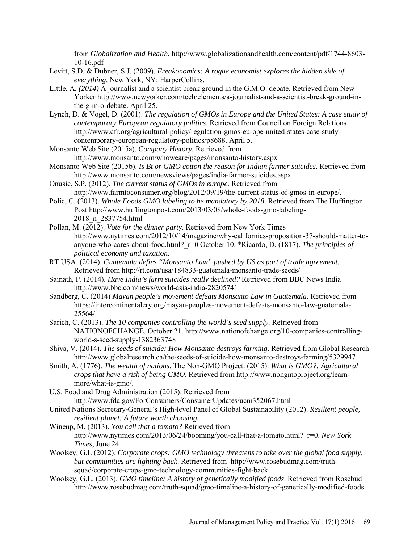from *Globalization and Health.* [http://www.globalizationandhealth.com/content/pdf/1744-8603-](http://www.globalizationandhealth.com/content/pdf/1744-8603-10-16.pdf) [10-16.pdf](http://www.globalizationandhealth.com/content/pdf/1744-8603-10-16.pdf) 

- Levitt, S.D. & Dubner, S.J. (2009). *Freakonomics: A rogue economist explores the hidden side of everything*. New York, NY: HarperCollins.
- Little, A*. (2014)* A journalist and a scientist break ground in the G.M.O. debate. Retrieved from New Yorker [http://www.newyorker.com/tech/elements/a-journalist-and-a-scientist-break-ground-in](http://www.newyorker.com/tech/elements/a-journalist-and-a-scientist-break-ground-in-the-g-m-o-debate.%20April%2025)[the-g-m-o-debate. April 25.](http://www.newyorker.com/tech/elements/a-journalist-and-a-scientist-break-ground-in-the-g-m-o-debate.%20April%2025)
- Lynch, D. & Vogel, D. (2001). *The regulation of GMOs in Europe and the United States: A case study of contemporary European regulatory politics*. Retrieved from Council on Foreign Relations [http://www.cfr.org/agricultural-policy/regulation-gmos-europe-united-states-case-study](http://www.cfr.org/agricultural-policy/regulation-gmos-europe-united-states-case-study-contemporary-european-regulatory-politics/p8688)[contemporary-european-regulatory-politics/p8688.](http://www.cfr.org/agricultural-policy/regulation-gmos-europe-united-states-case-study-contemporary-european-regulatory-politics/p8688) April 5.
- Monsanto Web Site (2015a). *Company History.* Retrieved from <http://www.monsanto.com/whoweare/pages/monsanto-history.aspx>
- Monsanto Web Site (2015b). *Is Bt or GMO cotton the reason for Indian farmer suicides.* Retrieved from <http://www.monsanto.com/newsviews/pages/india-farmer-suicides.aspx>
- Onusic, S.P. (2012). *The current status of GMOs in europe*. Retrieved from [http://www.farmtoconsumer.org/blog/2012/09/19/the-current-status-of-gmos-in-europe/.](http://www.farmtoconsumer.org/blog/2012/09/19/the-current-status-of-gmos-in-europe/)
- Polic, C. (2013). *Whole Foods GMO labeling to be mandatory by 2018*. Retrieved from The Huffington Post [http://www.huffingtonpost.com/2013/03/08/whole-foods-gmo-labeling-](http://www.huffingtonpost.com/2013/03/08/whole-foods-gmo-labeling-2018_n_2837754.html)[2018\\_n\\_2837754.html](http://www.huffingtonpost.com/2013/03/08/whole-foods-gmo-labeling-2018_n_2837754.html)
- Pollan, M. (2012). *Vote for the dinner party*. Retrieved from New York Times [http://www.nytimes.com/2012/10/14/magazine/why-californias-proposition-37-should-matter-to](http://www.nytimes.com/2012/10/14/magazine/why-californias-proposition-37-should-matter-to-anyone-who-cares-about-food.html?_r=0)[anyone-who-cares-about-food.html?\\_r=0](http://www.nytimes.com/2012/10/14/magazine/why-californias-proposition-37-should-matter-to-anyone-who-cares-about-food.html?_r=0) October 10. \*Ricardo, D. (1817). *The principles of political economy and taxation*.
- RT USA. (2014). *Guatemala defies "Monsanto Law" pushed by US as part of trade agreement.* Retrieved from<http://rt.com/usa/184833-guatemala-monsanto-trade-seeds/>
- Sainath, P. (2014). *Have India's farm suicides really declined?* Retrieved from BBC News India <http://www.bbc.com/news/world-asia-india-28205741>
- Sandberg, C. (2014) *Mayan people's movement defeats Monsanto Law in Guatemala.* Retrieved from [https://intercontinentalcry.org/mayan-peoples-movement-defeats-monsanto-law-guatemala-](https://intercontinentalcry.org/mayan-peoples-movement-defeats-monsanto-law-guatemala-25564/)[25564/](https://intercontinentalcry.org/mayan-peoples-movement-defeats-monsanto-law-guatemala-25564/)
- Sarich, C. (2013). *The 10 companies controlling the world's seed supply.* Retrieved from NATIONOFCHANGE. October 21. [http://www.nationofchange.org/10-companies-controlling](http://www.nationofchange.org/10-companies-controlling-world-s-seed-supply-1382363748)[world-s-seed-supply-1382363748](http://www.nationofchange.org/10-companies-controlling-world-s-seed-supply-1382363748)
- Shiva, V. (2014). *The seeds of suicide: How Monsanto destroys farming*. Retrieved from Global Research http://www.globalresearch.ca/the-seeds-of-suicide-how-monsanto-destroys-farming/5329947
- Smith, A. (1776). *The wealth of nations*. The Non-GMO Project. (2015). *What is GMO?: Agricultural crops that have a risk of being GMO*. Retrieved from [http://www.nongmoproject.org/learn](http://www.nongmoproject.org/learn-more/what-is-gmo/)[more/what-is-gmo/.](http://www.nongmoproject.org/learn-more/what-is-gmo/)
- U.S. Food and Drug Administration (2015). Retrieved from [http://www.fda.gov/ForConsumers/ConsumerUpdates/ucm352067.html](http://www.fda.gov/ForConsumers/ConsumerUpdates/ucm352067.htm)
- United Nations Secretary-General's High-level Panel of Global Sustainability (2012). *Resilient people, resilient planet: A future worth choosing.*
- Wineup, M. (2013). *You call that a tomato?* Retrieved from [http://www.nytimes.com/2013/06/24/booming/you-call-that-a-tomato.html?\\_r=0.](http://www.nytimes.com/2013/06/24/booming/you-call-that-a-tomato.html?_r=0) *New York Times*, June 24.
- Woolsey, G.L (2012). *Corporate crops: GMO technology threatens to take over the global food supply, but communities are fighting back*. Retrieved from [http://www.rosebudmag.com/truth](http://www.rosebudmag.com/truth-squad/corporate-crops-gmo-technology-communities-fight-back)[squad/corporate-crops-gmo-technology-communities-fight-back](http://www.rosebudmag.com/truth-squad/corporate-crops-gmo-technology-communities-fight-back)
- Woolsey, G.L. (2013). *GMO timeline: A history of genetically modified foods*. Retrieved from Rosebud <http://www.rosebudmag.com/truth-squad/gmo-timeline-a-history-of-genetically-modified-foods>